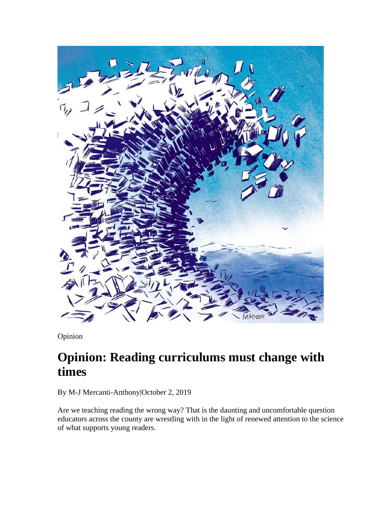

Opinion

## **Opinion: Reading curriculums must change with times**

By M-J Mercanti-Anthony|October 2, 2019

Are we teaching reading the wrong way? That is the daunting and uncomfortable question educators across the county are wrestling with in the light of renewed attention to the science of what supports young readers.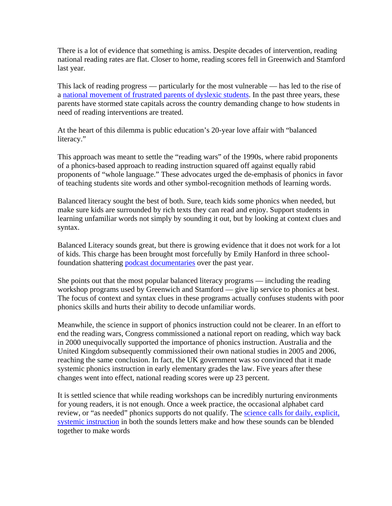There is a lot of evidence that something is amiss. Despite decades of intervention, reading national reading rates are flat. Closer to home, reading scores fell in Greenwich and Stamford last year.

This lack of reading progress — particularly for the most vulnerable — has led to the rise of a national movement of frustrated parents of dyslexic students. In the past three years, these parents have stormed state capitals across the country demanding change to how students in need of reading interventions are treated.

At the heart of this dilemma is public education's 20-year love affair with "balanced literacy."

This approach was meant to settle the "reading wars" of the 1990s, where rabid proponents of a phonics-based approach to reading instruction squared off against equally rabid proponents of "whole language." These advocates urged the de-emphasis of phonics in favor of teaching students site words and other symbol-recognition methods of learning words.

Balanced literacy sought the best of both. Sure, teach kids some phonics when needed, but make sure kids are surrounded by rich texts they can read and enjoy. Support students in learning unfamiliar words not simply by sounding it out, but by looking at context clues and syntax.

Balanced Literacy sounds great, but there is growing evidence that it does not work for a lot of kids. This charge has been brought most forcefully by Emily Hanford in three schoolfoundation shattering podcast documentaries over the past year.

She points out that the most popular balanced literacy programs — including the reading workshop programs used by Greenwich and Stamford — give lip service to phonics at best. The focus of context and syntax clues in these programs actually confuses students with poor phonics skills and hurts their ability to decode unfamiliar words.

Meanwhile, the science in support of phonics instruction could not be clearer. In an effort to end the reading wars, Congress commissioned a national report on reading, which way back in 2000 unequivocally supported the importance of phonics instruction. Australia and the United Kingdom subsequently commissioned their own national studies in 2005 and 2006, reaching the same conclusion. In fact, the UK government was so convinced that it made systemic phonics instruction in early elementary grades the law. Five years after these changes went into effect, national reading scores were up 23 percent.

It is settled science that while reading workshops can be incredibly nurturing environments for young readers, it is not enough. Once a week practice, the occasional alphabet card review, or "as needed" phonics supports do not qualify. The science calls for daily, explicit, systemic instruction in both the sounds letters make and how these sounds can be blended together to make words